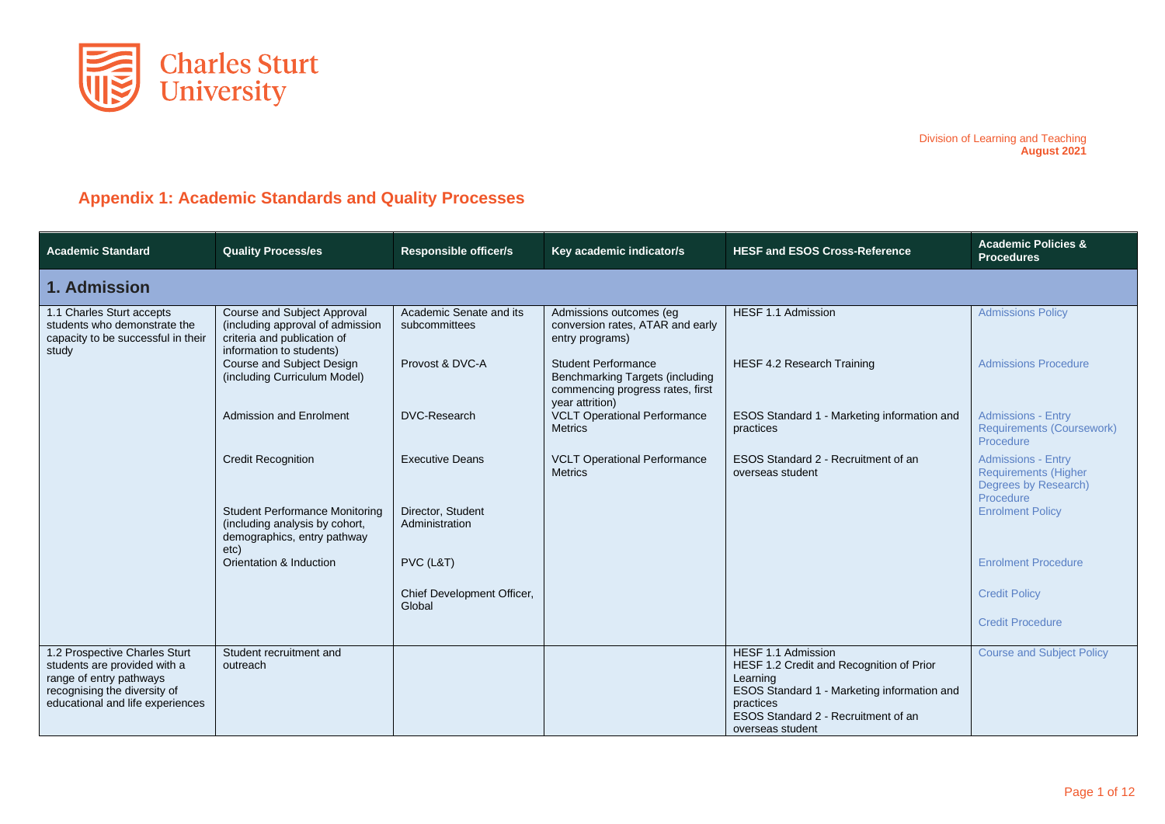

## **Appendix 1: Academic Standards and Quality Processes**

| <b>Academic Standard</b>                                                                                                                                     | <b>Quality Process/es</b>                                                                                                  | <b>Responsible officer/s</b>             | Key academic indicator/s                                                                                             | <b>HESF and ESOS Cross-Reference</b>                                                                                                   | <b>Academic Policies &amp;</b><br><b>Procedures</b>                                           |  |  |  |  |  |
|--------------------------------------------------------------------------------------------------------------------------------------------------------------|----------------------------------------------------------------------------------------------------------------------------|------------------------------------------|----------------------------------------------------------------------------------------------------------------------|----------------------------------------------------------------------------------------------------------------------------------------|-----------------------------------------------------------------------------------------------|--|--|--|--|--|
| 1. Admission                                                                                                                                                 |                                                                                                                            |                                          |                                                                                                                      |                                                                                                                                        |                                                                                               |  |  |  |  |  |
| 1.1 Charles Sturt accepts<br>students who demonstrate the<br>capacity to be successful in their<br>study                                                     | Course and Subject Approval<br>(including approval of admission<br>criteria and publication of<br>information to students) | Academic Senate and its<br>subcommittees | Admissions outcomes (eg<br>conversion rates, ATAR and early<br>entry programs)                                       | HESF 1.1 Admission                                                                                                                     | <b>Admissions Policy</b>                                                                      |  |  |  |  |  |
|                                                                                                                                                              | Course and Subject Design<br>(including Curriculum Model)                                                                  | Provost & DVC-A                          | <b>Student Performance</b><br>Benchmarking Targets (including<br>commencing progress rates, first<br>year attrition) | <b>HESF 4.2 Research Training</b>                                                                                                      | <b>Admissions Procedure</b>                                                                   |  |  |  |  |  |
|                                                                                                                                                              | <b>Admission and Enrolment</b>                                                                                             | <b>DVC-Research</b>                      | <b>VCLT Operational Performance</b><br><b>Metrics</b>                                                                | ESOS Standard 1 - Marketing information and<br>practices                                                                               | <b>Admissions - Entry</b><br><b>Requirements (Coursework)</b><br>Procedure                    |  |  |  |  |  |
|                                                                                                                                                              | <b>Credit Recognition</b>                                                                                                  | <b>Executive Deans</b>                   | <b>VCLT Operational Performance</b><br><b>Metrics</b>                                                                | ESOS Standard 2 - Recruitment of an<br>overseas student                                                                                | <b>Admissions - Entry</b><br><b>Requirements (Higher</b><br>Degrees by Research)<br>Procedure |  |  |  |  |  |
|                                                                                                                                                              | <b>Student Performance Monitoring</b><br>(including analysis by cohort,<br>demographics, entry pathway<br>etc)             | Director, Student<br>Administration      |                                                                                                                      |                                                                                                                                        | <b>Enrolment Policy</b>                                                                       |  |  |  |  |  |
|                                                                                                                                                              | Orientation & Induction                                                                                                    | PVC (L&T)                                |                                                                                                                      |                                                                                                                                        | <b>Enrolment Procedure</b>                                                                    |  |  |  |  |  |
|                                                                                                                                                              |                                                                                                                            | Chief Development Officer,<br>Global     |                                                                                                                      |                                                                                                                                        | <b>Credit Policy</b>                                                                          |  |  |  |  |  |
|                                                                                                                                                              |                                                                                                                            |                                          |                                                                                                                      |                                                                                                                                        | <b>Credit Procedure</b>                                                                       |  |  |  |  |  |
| 1.2 Prospective Charles Sturt<br>students are provided with a<br>range of entry pathways<br>recognising the diversity of<br>educational and life experiences | Student recruitment and<br>outreach                                                                                        |                                          |                                                                                                                      | HESF 1.1 Admission<br>HESF 1.2 Credit and Recognition of Prior<br>Learning<br>ESOS Standard 1 - Marketing information and<br>practices | <b>Course and Subject Policy</b>                                                              |  |  |  |  |  |
|                                                                                                                                                              |                                                                                                                            |                                          |                                                                                                                      | ESOS Standard 2 - Recruitment of an<br>overseas student                                                                                |                                                                                               |  |  |  |  |  |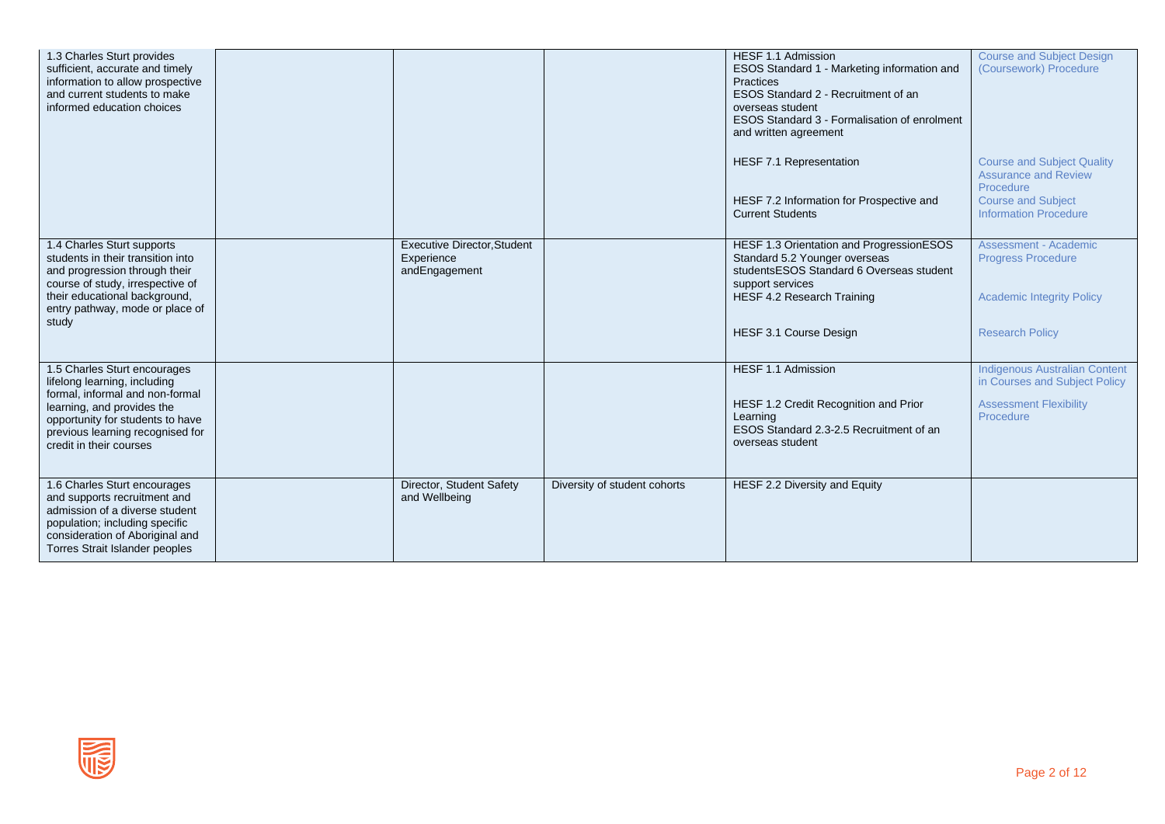| 1.3 Charles Sturt provides<br>sufficient, accurate and timely<br>information to allow prospective<br>and current students to make<br>informed education choices                                                                  |                                                                   |                              | HESF 1.1 Admission<br>ESOS Standard 1 - Marketing information and<br>Practices<br>ESOS Standard 2 - Recruitment of an<br>overseas student<br>ESOS Standard 3 - Formalisation of enrolment<br>and written agreement<br>HESF 7.1 Representation<br>HESF 7.2 Information for Prospective and<br><b>Current Students</b> | <b>Course and Subject Design</b><br>(Coursework) Procedure<br><b>Course and Subject Quality</b><br><b>Assurance and Review</b><br>Procedure<br><b>Course and Subject</b><br><b>Information Procedure</b> |
|----------------------------------------------------------------------------------------------------------------------------------------------------------------------------------------------------------------------------------|-------------------------------------------------------------------|------------------------------|----------------------------------------------------------------------------------------------------------------------------------------------------------------------------------------------------------------------------------------------------------------------------------------------------------------------|----------------------------------------------------------------------------------------------------------------------------------------------------------------------------------------------------------|
| 1.4 Charles Sturt supports<br>students in their transition into<br>and progression through their<br>course of study, irrespective of<br>their educational background,<br>entry pathway, mode or place of<br>study                | <b>Executive Director, Student</b><br>Experience<br>andEngagement |                              | HESF 1.3 Orientation and ProgressionESOS<br>Standard 5.2 Younger overseas<br>studentsESOS Standard 6 Overseas student<br>support services<br><b>HESF 4.2 Research Training</b><br>HESF 3.1 Course Design                                                                                                             | <b>Assessment - Academic</b><br><b>Progress Procedure</b><br><b>Academic Integrity Policy</b><br><b>Research Policy</b>                                                                                  |
| 1.5 Charles Sturt encourages<br>lifelong learning, including<br>formal, informal and non-formal<br>learning, and provides the<br>opportunity for students to have<br>previous learning recognised for<br>credit in their courses |                                                                   |                              | HESF 1.1 Admission<br>HESF 1.2 Credit Recognition and Prior<br>Learning<br>ESOS Standard 2.3-2.5 Recruitment of an<br>overseas student                                                                                                                                                                               | <b>Indigenous Australian Content</b><br>in Courses and Subject Policy<br><b>Assessment Flexibility</b><br>Procedure                                                                                      |
| 1.6 Charles Sturt encourages<br>and supports recruitment and<br>admission of a diverse student<br>population; including specific<br>consideration of Aboriginal and<br>Torres Strait Islander peoples                            | Director, Student Safety<br>and Wellbeing                         | Diversity of student cohorts | HESF 2.2 Diversity and Equity                                                                                                                                                                                                                                                                                        |                                                                                                                                                                                                          |

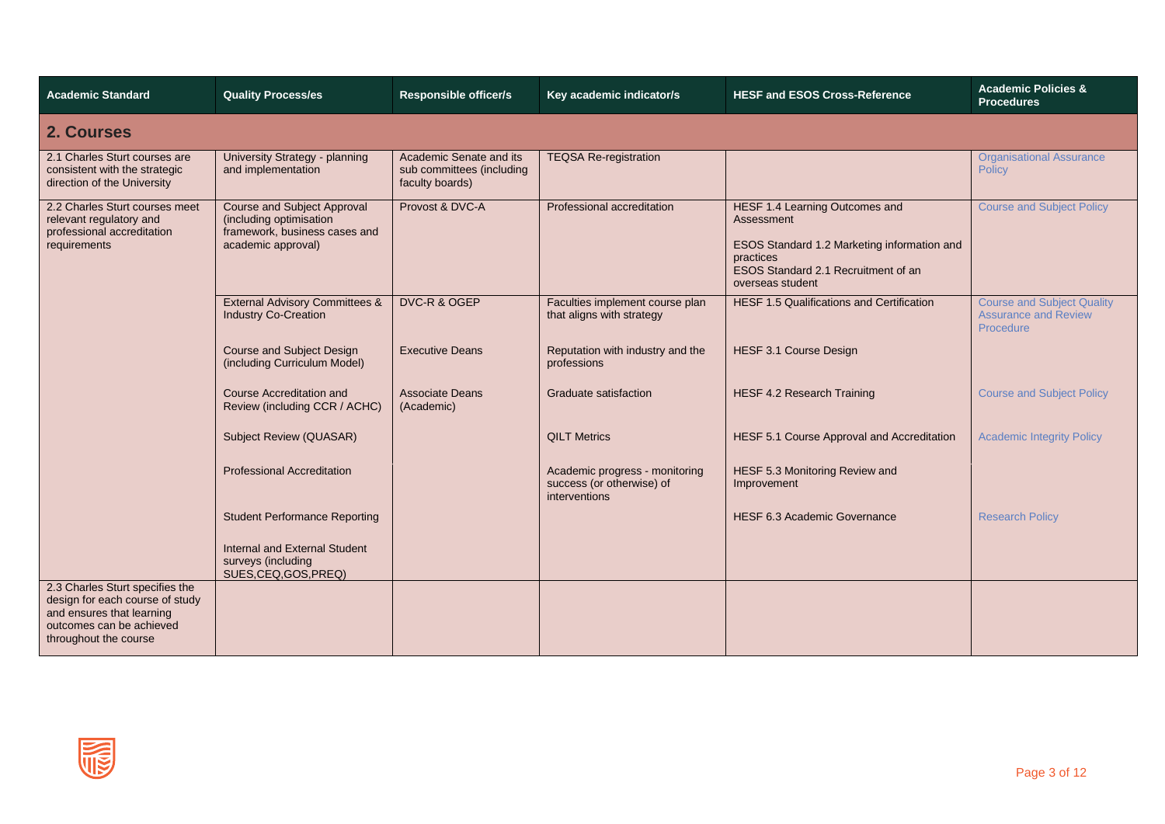| <b>Academic Standard</b>                                                                                                                             | <b>Quality Process/es</b>                                                                                            | <b>Responsible officer/s</b>                                            | Key academic indicator/s                                                     | <b>HESF and ESOS Cross-Reference</b>                                                                                                                                       | <b>Academic Policies &amp;</b><br><b>Procedures</b>                           |
|------------------------------------------------------------------------------------------------------------------------------------------------------|----------------------------------------------------------------------------------------------------------------------|-------------------------------------------------------------------------|------------------------------------------------------------------------------|----------------------------------------------------------------------------------------------------------------------------------------------------------------------------|-------------------------------------------------------------------------------|
| 2. Courses                                                                                                                                           |                                                                                                                      |                                                                         |                                                                              |                                                                                                                                                                            |                                                                               |
| 2.1 Charles Sturt courses are<br>consistent with the strategic<br>direction of the University                                                        | University Strategy - planning<br>and implementation                                                                 | Academic Senate and its<br>sub committees (including<br>faculty boards) | <b>TEQSA Re-registration</b>                                                 |                                                                                                                                                                            | <b>Organisational Assurance</b><br>Policy                                     |
| 2.2 Charles Sturt courses meet<br>relevant regulatory and<br>professional accreditation<br>requirements                                              | <b>Course and Subject Approval</b><br>(including optimisation<br>framework, business cases and<br>academic approval) | Provost & DVC-A                                                         | Professional accreditation                                                   | <b>HESF 1.4 Learning Outcomes and</b><br>Assessment<br>ESOS Standard 1.2 Marketing information and<br>practices<br>ESOS Standard 2.1 Recruitment of an<br>overseas student | <b>Course and Subject Policy</b>                                              |
|                                                                                                                                                      | <b>External Advisory Committees &amp;</b><br><b>Industry Co-Creation</b>                                             | DVC-R & OGEP                                                            | Faculties implement course plan<br>that aligns with strategy                 | <b>HESF 1.5 Qualifications and Certification</b>                                                                                                                           | <b>Course and Subject Quality</b><br><b>Assurance and Review</b><br>Procedure |
|                                                                                                                                                      | <b>Course and Subject Design</b><br>(including Curriculum Model)                                                     | <b>Executive Deans</b>                                                  | Reputation with industry and the<br>professions                              | HESF 3.1 Course Design                                                                                                                                                     |                                                                               |
|                                                                                                                                                      | <b>Course Accreditation and</b><br>Review (including CCR / ACHC)                                                     | <b>Associate Deans</b><br>(Academic)                                    | Graduate satisfaction                                                        | <b>HESF 4.2 Research Training</b>                                                                                                                                          | <b>Course and Subject Policy</b>                                              |
|                                                                                                                                                      | Subject Review (QUASAR)                                                                                              |                                                                         | <b>QILT Metrics</b>                                                          | HESF 5.1 Course Approval and Accreditation                                                                                                                                 | <b>Academic Integrity Policy</b>                                              |
|                                                                                                                                                      | <b>Professional Accreditation</b>                                                                                    |                                                                         | Academic progress - monitoring<br>success (or otherwise) of<br>interventions | HESF 5.3 Monitoring Review and<br>Improvement                                                                                                                              |                                                                               |
|                                                                                                                                                      | <b>Student Performance Reporting</b>                                                                                 |                                                                         |                                                                              | <b>HESF 6.3 Academic Governance</b>                                                                                                                                        | <b>Research Policy</b>                                                        |
|                                                                                                                                                      | Internal and External Student<br>surveys (including<br>SUES, CEQ, GOS, PREQ)                                         |                                                                         |                                                                              |                                                                                                                                                                            |                                                                               |
| 2.3 Charles Sturt specifies the<br>design for each course of study<br>and ensures that learning<br>outcomes can be achieved<br>throughout the course |                                                                                                                      |                                                                         |                                                                              |                                                                                                                                                                            |                                                                               |

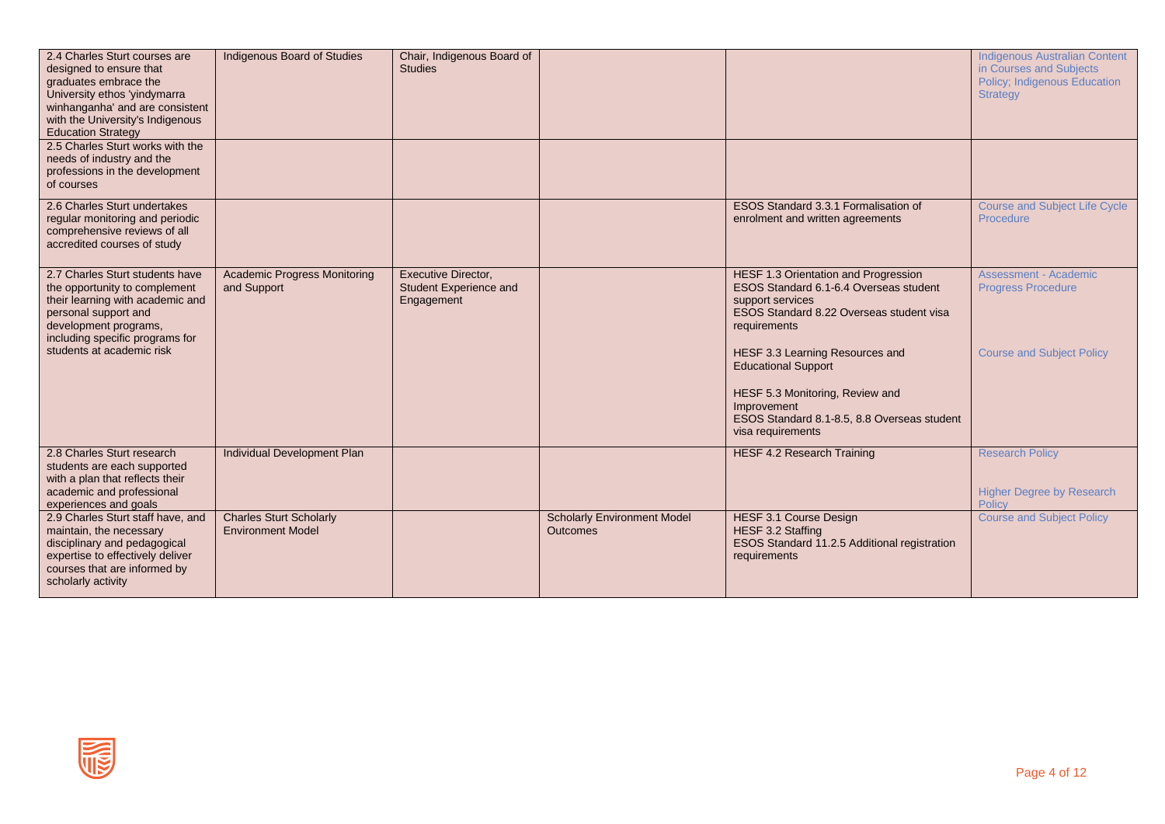| 2.4 Charles Sturt courses are<br>designed to ensure that<br>graduates embrace the<br>University ethos 'yindymarra<br>winhanganha' and are consistent<br>with the University's Indigenous<br><b>Education Strategy</b><br>2.5 Charles Sturt works with the<br>needs of industry and the<br>professions in the development<br>of courses | Indigenous Board of Studies                                | Chair, Indigenous Board of<br><b>Studies</b>                              |                                                       |                                                                                                                                                                                                                                                                                                                                                       | <b>Indigenous Australian Content</b><br>in Courses and Subiects<br>Policy; Indigenous Education<br><b>Strategy</b> |
|----------------------------------------------------------------------------------------------------------------------------------------------------------------------------------------------------------------------------------------------------------------------------------------------------------------------------------------|------------------------------------------------------------|---------------------------------------------------------------------------|-------------------------------------------------------|-------------------------------------------------------------------------------------------------------------------------------------------------------------------------------------------------------------------------------------------------------------------------------------------------------------------------------------------------------|--------------------------------------------------------------------------------------------------------------------|
| 2.6 Charles Sturt undertakes<br>regular monitoring and periodic<br>comprehensive reviews of all<br>accredited courses of study                                                                                                                                                                                                         |                                                            |                                                                           |                                                       | ESOS Standard 3.3.1 Formalisation of<br>enrolment and written agreements                                                                                                                                                                                                                                                                              | <b>Course and Subject Life Cycle</b><br>Procedure                                                                  |
| 2.7 Charles Sturt students have<br>the opportunity to complement<br>their learning with academic and<br>personal support and<br>development programs,<br>including specific programs for<br>students at academic risk                                                                                                                  | <b>Academic Progress Monitoring</b><br>and Support         | <b>Executive Director,</b><br><b>Student Experience and</b><br>Engagement |                                                       | HESF 1.3 Orientation and Progression<br>ESOS Standard 6.1-6.4 Overseas student<br>support services<br>ESOS Standard 8.22 Overseas student visa<br>requirements<br>HESF 3.3 Learning Resources and<br><b>Educational Support</b><br>HESF 5.3 Monitoring, Review and<br>Improvement<br>ESOS Standard 8.1-8.5, 8.8 Overseas student<br>visa requirements | <b>Assessment - Academic</b><br><b>Progress Procedure</b><br><b>Course and Subject Policy</b>                      |
| 2.8 Charles Sturt research<br>students are each supported<br>with a plan that reflects their<br>academic and professional<br>experiences and goals                                                                                                                                                                                     | <b>Individual Development Plan</b>                         |                                                                           |                                                       | <b>HESF 4.2 Research Training</b>                                                                                                                                                                                                                                                                                                                     | <b>Research Policy</b><br><b>Higher Degree by Research</b><br>Policy                                               |
| 2.9 Charles Sturt staff have, and<br>maintain, the necessary<br>disciplinary and pedagogical<br>expertise to effectively deliver<br>courses that are informed by<br>scholarly activity                                                                                                                                                 | <b>Charles Sturt Scholarly</b><br><b>Environment Model</b> |                                                                           | <b>Scholarly Environment Model</b><br><b>Outcomes</b> | <b>HESF 3.1 Course Design</b><br>HESF 3.2 Staffing<br>ESOS Standard 11.2.5 Additional registration<br>requirements                                                                                                                                                                                                                                    | <b>Course and Subject Policy</b>                                                                                   |

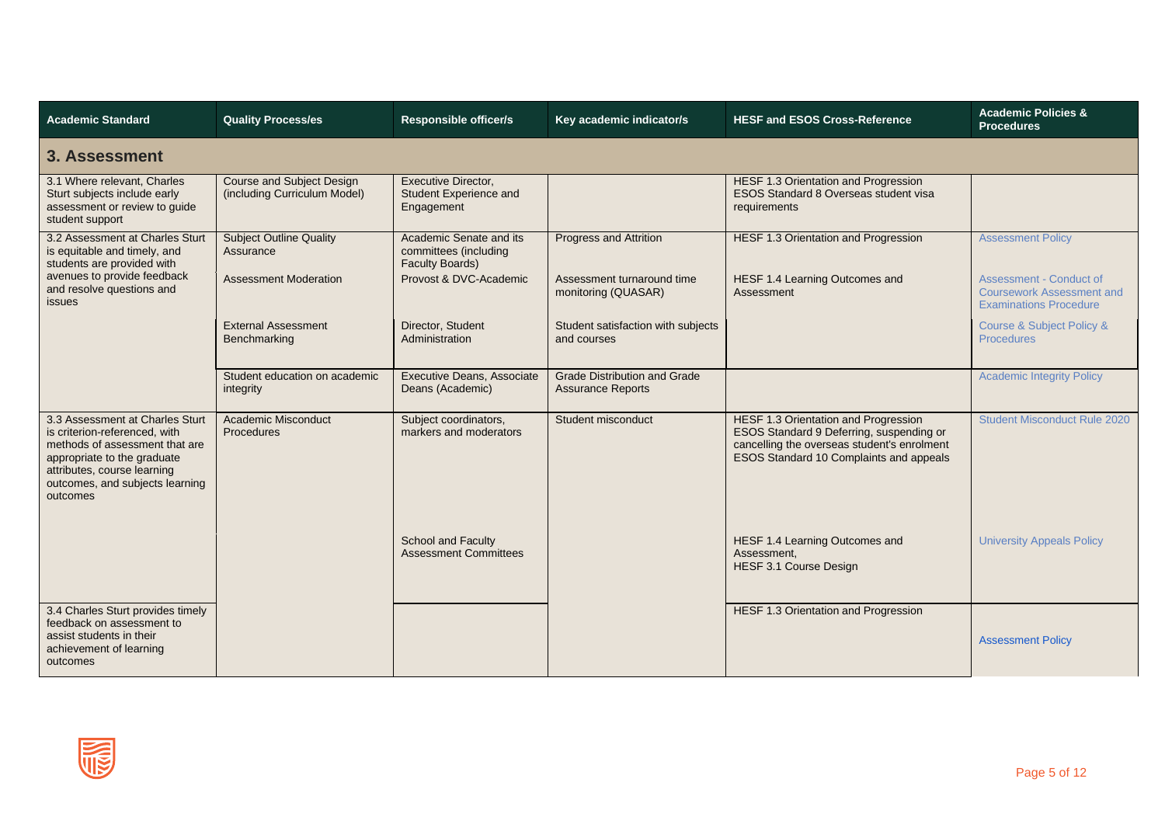| <b>Academic Standard</b>                                                                                                                                                                                        | <b>Quality Process/es</b>                                        | <b>Responsible officer/s</b>                                               | Key academic indicator/s                                        | <b>HESF and ESOS Cross-Reference</b>                                                                                                                                              | <b>Academic Policies &amp;</b><br><b>Procedures</b>                                                 |  |  |
|-----------------------------------------------------------------------------------------------------------------------------------------------------------------------------------------------------------------|------------------------------------------------------------------|----------------------------------------------------------------------------|-----------------------------------------------------------------|-----------------------------------------------------------------------------------------------------------------------------------------------------------------------------------|-----------------------------------------------------------------------------------------------------|--|--|
| 3. Assessment                                                                                                                                                                                                   |                                                                  |                                                                            |                                                                 |                                                                                                                                                                                   |                                                                                                     |  |  |
| 3.1 Where relevant, Charles<br>Sturt subjects include early<br>assessment or review to guide<br>student support                                                                                                 | <b>Course and Subject Design</b><br>(including Curriculum Model) | Executive Director,<br>Student Experience and<br>Engagement                |                                                                 | HESF 1.3 Orientation and Progression<br>ESOS Standard 8 Overseas student visa<br>requirements                                                                                     |                                                                                                     |  |  |
| 3.2 Assessment at Charles Sturt<br>is equitable and timely, and<br>students are provided with                                                                                                                   | <b>Subject Outline Quality</b><br>Assurance                      | Academic Senate and its<br>committees (including<br><b>Faculty Boards)</b> | <b>Progress and Attrition</b>                                   | <b>HESF 1.3 Orientation and Progression</b>                                                                                                                                       | <b>Assessment Policy</b>                                                                            |  |  |
| avenues to provide feedback<br>and resolve questions and<br>issues                                                                                                                                              | <b>Assessment Moderation</b>                                     | Provost & DVC-Academic                                                     | Assessment turnaround time<br>monitoring (QUASAR)               | HESF 1.4 Learning Outcomes and<br>Assessment                                                                                                                                      | <b>Assessment - Conduct of</b><br><b>Coursework Assessment and</b><br><b>Examinations Procedure</b> |  |  |
|                                                                                                                                                                                                                 | <b>External Assessment</b><br>Benchmarking                       | Director, Student<br>Administration                                        | Student satisfaction with subjects<br>and courses               |                                                                                                                                                                                   | Course & Subject Policy &<br><b>Procedures</b>                                                      |  |  |
|                                                                                                                                                                                                                 | Student education on academic<br>integrity                       | Executive Deans, Associate<br>Deans (Academic)                             | <b>Grade Distribution and Grade</b><br><b>Assurance Reports</b> |                                                                                                                                                                                   | <b>Academic Integrity Policy</b>                                                                    |  |  |
| 3.3 Assessment at Charles Sturt<br>is criterion-referenced, with<br>methods of assessment that are<br>appropriate to the graduate<br>attributes, course learning<br>outcomes, and subjects learning<br>outcomes | <b>Academic Misconduct</b><br>Procedures                         | Subject coordinators,<br>markers and moderators                            | Student misconduct                                              | <b>HESF 1.3 Orientation and Progression</b><br>ESOS Standard 9 Deferring, suspending or<br>cancelling the overseas student's enrolment<br>ESOS Standard 10 Complaints and appeals | <b>Student Misconduct Rule 2020</b>                                                                 |  |  |
|                                                                                                                                                                                                                 |                                                                  | School and Faculty<br><b>Assessment Committees</b>                         |                                                                 | HESF 1.4 Learning Outcomes and<br>Assessment.<br><b>HESF 3.1 Course Design</b>                                                                                                    | <b>University Appeals Policy</b>                                                                    |  |  |
| 3.4 Charles Sturt provides timely<br>feedback on assessment to<br>assist students in their<br>achievement of learning<br>outcomes                                                                               |                                                                  |                                                                            |                                                                 | HESF 1.3 Orientation and Progression                                                                                                                                              | <b>Assessment Policy</b>                                                                            |  |  |

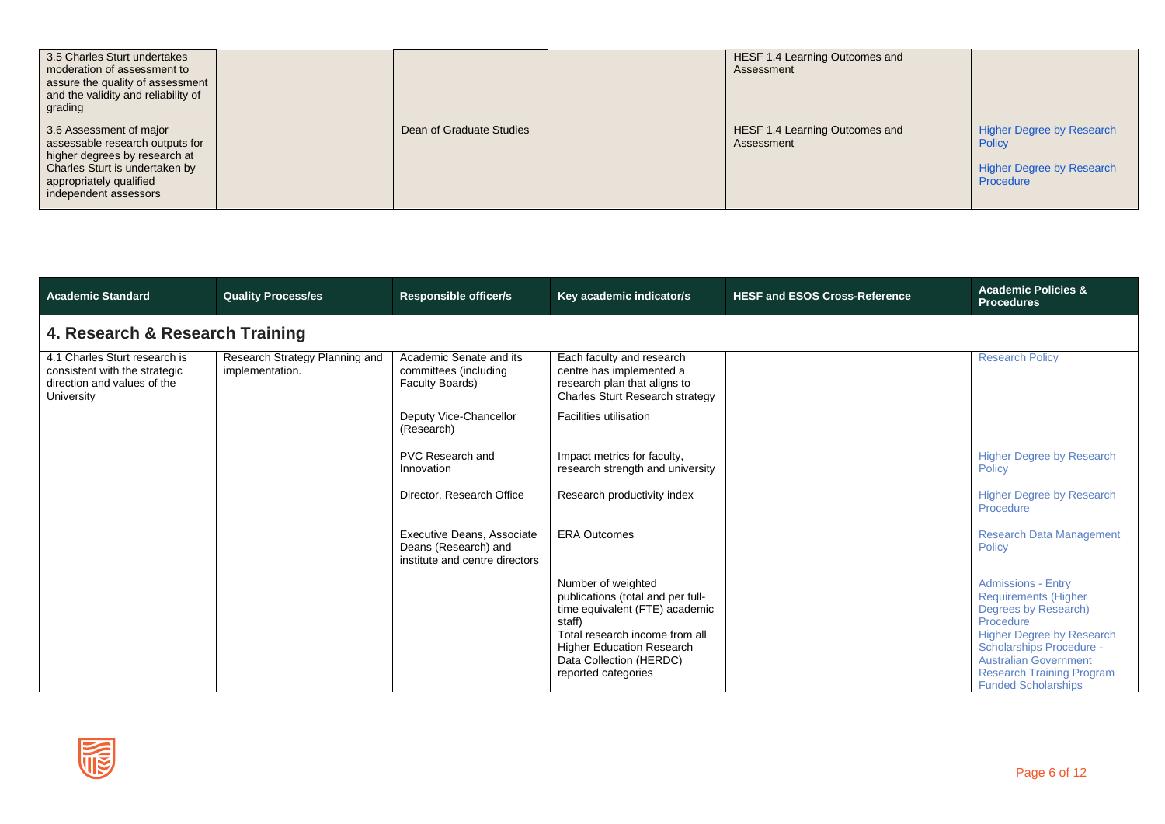| 3.5 Charles Sturt undertakes<br>moderation of assessment to<br>assure the quality of assessment<br>and the validity and reliability of<br>grading                                 |                          | HESF 1.4 Learning Outcomes and<br>Assessment |                                                                                                    |
|-----------------------------------------------------------------------------------------------------------------------------------------------------------------------------------|--------------------------|----------------------------------------------|----------------------------------------------------------------------------------------------------|
| 3.6 Assessment of major<br>assessable research outputs for<br>higher degrees by research at<br>Charles Sturt is undertaken by<br>appropriately qualified<br>independent assessors | Dean of Graduate Studies | HESF 1.4 Learning Outcomes and<br>Assessment | <b>Higher Degree by Research</b><br><b>Policy</b><br><b>Higher Degree by Research</b><br>Procedure |

| <b>Academic Standard</b>                                                                                    | <b>Quality Process/es</b>                         | <b>Responsible officer/s</b>                                                         | Key academic indicator/s                                                                                                                                                                                             | <b>HESF and ESOS Cross-Reference</b> | <b>Academic Policies &amp;</b><br><b>Procedures</b>                                                                                                                                                                                                             |  |  |  |  |
|-------------------------------------------------------------------------------------------------------------|---------------------------------------------------|--------------------------------------------------------------------------------------|----------------------------------------------------------------------------------------------------------------------------------------------------------------------------------------------------------------------|--------------------------------------|-----------------------------------------------------------------------------------------------------------------------------------------------------------------------------------------------------------------------------------------------------------------|--|--|--|--|
|                                                                                                             | 4. Research & Research Training                   |                                                                                      |                                                                                                                                                                                                                      |                                      |                                                                                                                                                                                                                                                                 |  |  |  |  |
| 4.1 Charles Sturt research is<br>consistent with the strategic<br>direction and values of the<br>University | Research Strategy Planning and<br>implementation. | Academic Senate and its<br>committees (including<br>Faculty Boards)                  | Each faculty and research<br>centre has implemented a<br>research plan that aligns to<br>Charles Sturt Research strategy                                                                                             |                                      | <b>Research Policy</b>                                                                                                                                                                                                                                          |  |  |  |  |
|                                                                                                             |                                                   | Deputy Vice-Chancellor<br>(Research)                                                 | Facilities utilisation                                                                                                                                                                                               |                                      |                                                                                                                                                                                                                                                                 |  |  |  |  |
|                                                                                                             |                                                   | PVC Research and<br>Innovation                                                       | Impact metrics for faculty,<br>research strength and university                                                                                                                                                      |                                      | <b>Higher Degree by Research</b><br>Policy                                                                                                                                                                                                                      |  |  |  |  |
|                                                                                                             |                                                   | Director, Research Office                                                            | Research productivity index                                                                                                                                                                                          |                                      | <b>Higher Degree by Research</b><br>Procedure                                                                                                                                                                                                                   |  |  |  |  |
|                                                                                                             |                                                   | Executive Deans, Associate<br>Deans (Research) and<br>institute and centre directors | <b>ERA Outcomes</b>                                                                                                                                                                                                  |                                      | <b>Research Data Management</b><br>Policy                                                                                                                                                                                                                       |  |  |  |  |
|                                                                                                             |                                                   |                                                                                      | Number of weighted<br>publications (total and per full-<br>time equivalent (FTE) academic<br>staff)<br>Total research income from all<br>Higher Education Research<br>Data Collection (HERDC)<br>reported categories |                                      | <b>Admissions - Entry</b><br><b>Requirements (Higher</b><br>Degrees by Research)<br>Procedure<br><b>Higher Degree by Research</b><br>Scholarships Procedure -<br><b>Australian Government</b><br><b>Research Training Program</b><br><b>Funded Scholarships</b> |  |  |  |  |

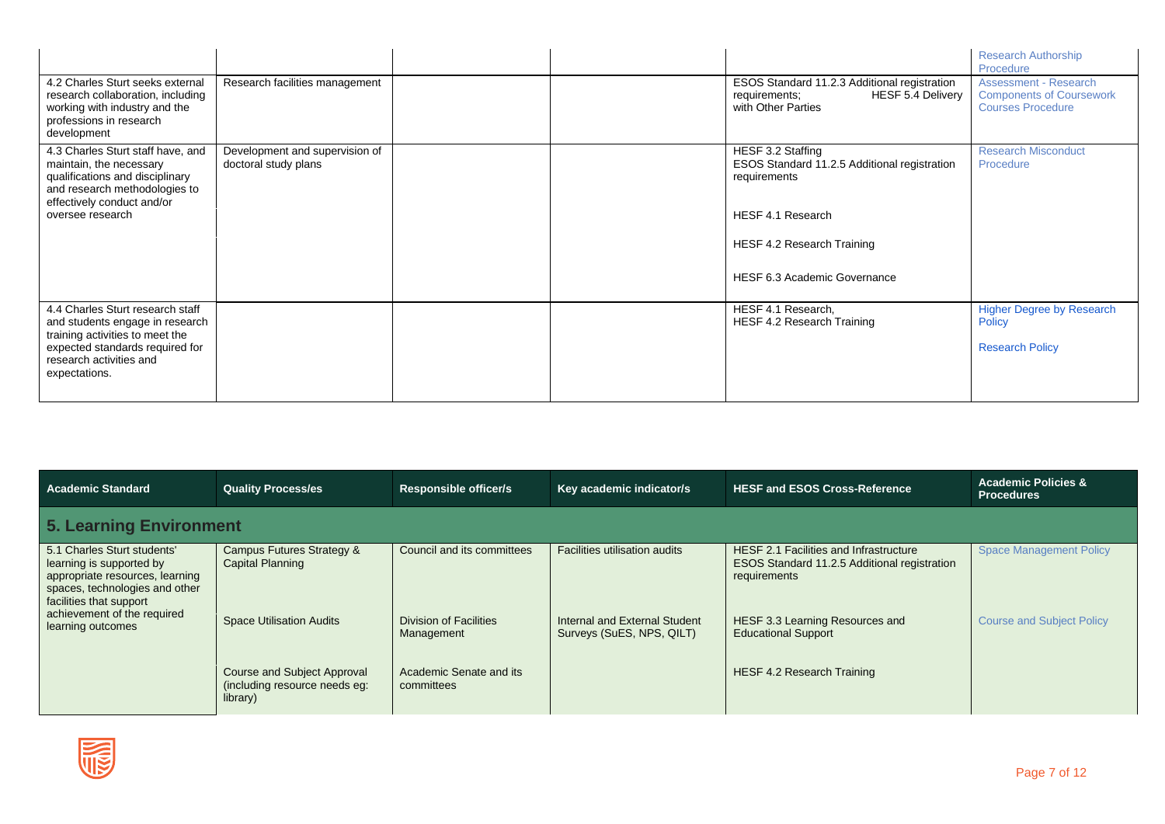| 4.2 Charles Sturt seeks external<br>research collaboration, including<br>working with industry and the<br>professions in research         | Research facilities management |  | ESOS Standard 11.2.3 Additional registration<br>HESF 5.4 Delivery<br>requirements;<br>with Other Parties | <b>Research Authorship</b><br>Procedure<br><b>Assessment - Research</b><br><b>Components of Coursework</b><br><b>Courses Procedure</b> |
|-------------------------------------------------------------------------------------------------------------------------------------------|--------------------------------|--|----------------------------------------------------------------------------------------------------------|----------------------------------------------------------------------------------------------------------------------------------------|
| development<br>4.3 Charles Sturt staff have, and                                                                                          | Development and supervision of |  | HESF 3.2 Staffing                                                                                        | <b>Research Misconduct</b>                                                                                                             |
| maintain, the necessary<br>qualifications and disciplinary<br>and research methodologies to                                               | doctoral study plans           |  | ESOS Standard 11.2.5 Additional registration<br>requirements                                             | Procedure                                                                                                                              |
| effectively conduct and/or<br>oversee research                                                                                            |                                |  | HESF 4.1 Research                                                                                        |                                                                                                                                        |
|                                                                                                                                           |                                |  | HESF 4.2 Research Training                                                                               |                                                                                                                                        |
|                                                                                                                                           |                                |  | HESF 6.3 Academic Governance                                                                             |                                                                                                                                        |
| 4.4 Charles Sturt research staff<br>and students engage in research<br>training activities to meet the<br>expected standards required for |                                |  | HESF 4.1 Research,<br>HESF 4.2 Research Training                                                         | <b>Higher Degree by Research</b><br><b>Policy</b><br><b>Research Policy</b>                                                            |
| research activities and<br>expectations.                                                                                                  |                                |  |                                                                                                          |                                                                                                                                        |

| <b>Academic Standard</b>                                                                                                                                                                                    | <b>Quality Process/es</b>                                                | <b>Responsible officer/s</b>          | Key academic indicator/s                                   | <b>HESF and ESOS Cross-Reference</b>                                                                          | <b>Academic Policies &amp;</b><br><b>Procedures</b> |  |  |  |  |
|-------------------------------------------------------------------------------------------------------------------------------------------------------------------------------------------------------------|--------------------------------------------------------------------------|---------------------------------------|------------------------------------------------------------|---------------------------------------------------------------------------------------------------------------|-----------------------------------------------------|--|--|--|--|
| 5. Learning Environment                                                                                                                                                                                     |                                                                          |                                       |                                                            |                                                                                                               |                                                     |  |  |  |  |
| 5.1 Charles Sturt students'<br>learning is supported by<br>appropriate resources, learning<br>spaces, technologies and other<br>facilities that support<br>achievement of the required<br>learning outcomes | Campus Futures Strategy &<br>Capital Planning                            | Council and its committees            | <b>Facilities utilisation audits</b>                       | <b>HESF 2.1 Facilities and Infrastructure</b><br>ESOS Standard 11.2.5 Additional registration<br>requirements | <b>Space Management Policy</b>                      |  |  |  |  |
|                                                                                                                                                                                                             | <b>Space Utilisation Audits</b>                                          | Division of Facilities<br>Management  | Internal and External Student<br>Surveys (SuES, NPS, QILT) | HESF 3.3 Learning Resources and<br><b>Educational Support</b>                                                 | <b>Course and Subject Policy</b>                    |  |  |  |  |
|                                                                                                                                                                                                             | Course and Subject Approval<br>(including resource needs eg:<br>library) | Academic Senate and its<br>committees |                                                            | <b>HESF 4.2 Research Training</b>                                                                             |                                                     |  |  |  |  |

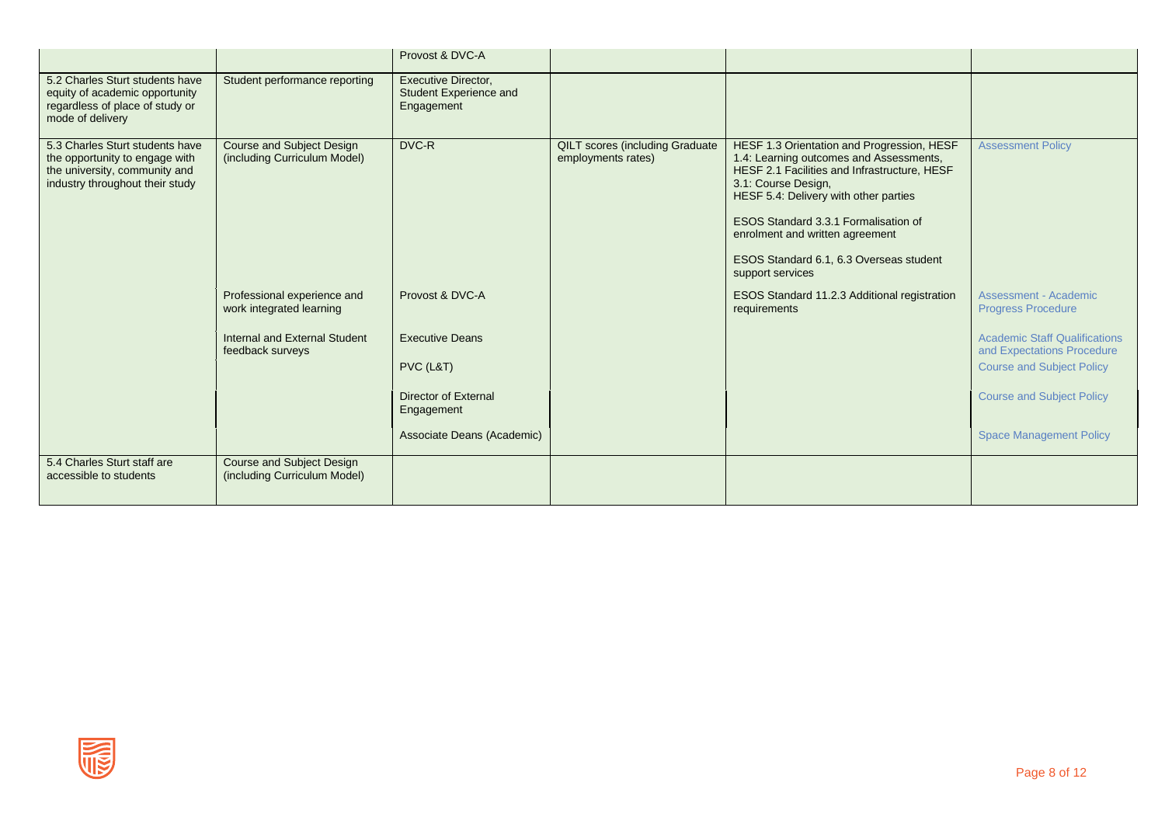|                                                                                                                                       |                                                                  | Provost & DVC-A                                                                                                |                                                              |                                                                                                                                                                                                                                                                                                                                                 |                                                                                                                                                                              |
|---------------------------------------------------------------------------------------------------------------------------------------|------------------------------------------------------------------|----------------------------------------------------------------------------------------------------------------|--------------------------------------------------------------|-------------------------------------------------------------------------------------------------------------------------------------------------------------------------------------------------------------------------------------------------------------------------------------------------------------------------------------------------|------------------------------------------------------------------------------------------------------------------------------------------------------------------------------|
| 5.2 Charles Sturt students have<br>equity of academic opportunity<br>regardless of place of study or<br>mode of delivery              | Student performance reporting                                    | <b>Executive Director,</b><br>Student Experience and<br>Engagement                                             |                                                              |                                                                                                                                                                                                                                                                                                                                                 |                                                                                                                                                                              |
| 5.3 Charles Sturt students have<br>the opportunity to engage with<br>the university, community and<br>industry throughout their study | Course and Subject Design<br>(including Curriculum Model)        | DVC-R                                                                                                          | <b>QILT</b> scores (including Graduate<br>employments rates) | HESF 1.3 Orientation and Progression, HESF<br>1.4: Learning outcomes and Assessments,<br>HESF 2.1 Facilities and Infrastructure, HESF<br>3.1: Course Design,<br>HESF 5.4: Delivery with other parties<br>ESOS Standard 3.3.1 Formalisation of<br>enrolment and written agreement<br>ESOS Standard 6.1, 6.3 Overseas student<br>support services | <b>Assessment Policy</b>                                                                                                                                                     |
|                                                                                                                                       | Professional experience and<br>work integrated learning          | Provost & DVC-A                                                                                                |                                                              | ESOS Standard 11.2.3 Additional registration<br>requirements                                                                                                                                                                                                                                                                                    | Assessment - Academic<br><b>Progress Procedure</b>                                                                                                                           |
|                                                                                                                                       | Internal and External Student<br>feedback surveys                | <b>Executive Deans</b><br>PVC (L&T)<br><b>Director of External</b><br>Engagement<br>Associate Deans (Academic) |                                                              |                                                                                                                                                                                                                                                                                                                                                 | <b>Academic Staff Qualifications</b><br>and Expectations Procedure<br><b>Course and Subject Policy</b><br><b>Course and Subject Policy</b><br><b>Space Management Policy</b> |
| 5.4 Charles Sturt staff are<br>accessible to students                                                                                 | <b>Course and Subject Design</b><br>(including Curriculum Model) |                                                                                                                |                                                              |                                                                                                                                                                                                                                                                                                                                                 |                                                                                                                                                                              |

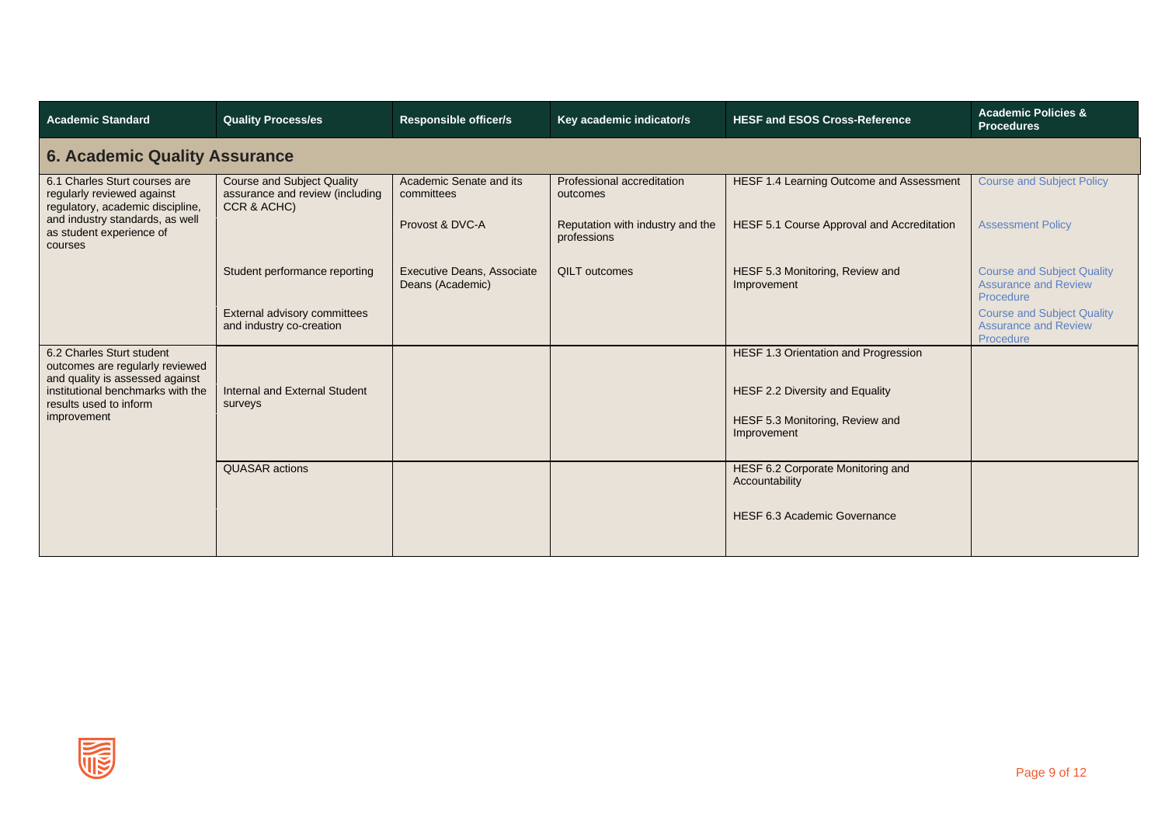| <b>Academic Standard</b>                                                                        | <b>Quality Process/es</b>                                                           | <b>Responsible officer/s</b>                          | Key academic indicator/s                        | <b>HESF and ESOS Cross-Reference</b>                | <b>Academic Policies &amp;</b><br><b>Procedures</b>                           |  |  |  |  |  |
|-------------------------------------------------------------------------------------------------|-------------------------------------------------------------------------------------|-------------------------------------------------------|-------------------------------------------------|-----------------------------------------------------|-------------------------------------------------------------------------------|--|--|--|--|--|
|                                                                                                 | <b>6. Academic Quality Assurance</b>                                                |                                                       |                                                 |                                                     |                                                                               |  |  |  |  |  |
| 6.1 Charles Sturt courses are<br>regularly reviewed against<br>regulatory, academic discipline, | <b>Course and Subject Quality</b><br>assurance and review (including<br>CCR & ACHC) | Academic Senate and its<br>committees                 | Professional accreditation<br>outcomes          | HESF 1.4 Learning Outcome and Assessment            | <b>Course and Subject Policy</b>                                              |  |  |  |  |  |
| and industry standards, as well<br>as student experience of<br>courses                          |                                                                                     | Provost & DVC-A                                       | Reputation with industry and the<br>professions | HESF 5.1 Course Approval and Accreditation          | <b>Assessment Policy</b>                                                      |  |  |  |  |  |
|                                                                                                 | Student performance reporting                                                       | <b>Executive Deans, Associate</b><br>Deans (Academic) | <b>QILT</b> outcomes                            | HESF 5.3 Monitoring, Review and<br>Improvement      | <b>Course and Subject Quality</b><br><b>Assurance and Review</b><br>Procedure |  |  |  |  |  |
|                                                                                                 | External advisory committees<br>and industry co-creation                            |                                                       |                                                 |                                                     | <b>Course and Subject Quality</b><br><b>Assurance and Review</b><br>Procedure |  |  |  |  |  |
| 6.2 Charles Sturt student<br>outcomes are regularly reviewed<br>and quality is assessed against |                                                                                     |                                                       |                                                 | HESF 1.3 Orientation and Progression                |                                                                               |  |  |  |  |  |
| institutional benchmarks with the<br>results used to inform                                     | Internal and External Student<br>surveys                                            |                                                       |                                                 | HESF 2.2 Diversity and Equality                     |                                                                               |  |  |  |  |  |
| improvement                                                                                     |                                                                                     |                                                       |                                                 | HESF 5.3 Monitoring, Review and<br>Improvement      |                                                                               |  |  |  |  |  |
|                                                                                                 | <b>QUASAR</b> actions                                                               |                                                       |                                                 | HESF 6.2 Corporate Monitoring and<br>Accountability |                                                                               |  |  |  |  |  |
|                                                                                                 |                                                                                     |                                                       |                                                 | HESF 6.3 Academic Governance                        |                                                                               |  |  |  |  |  |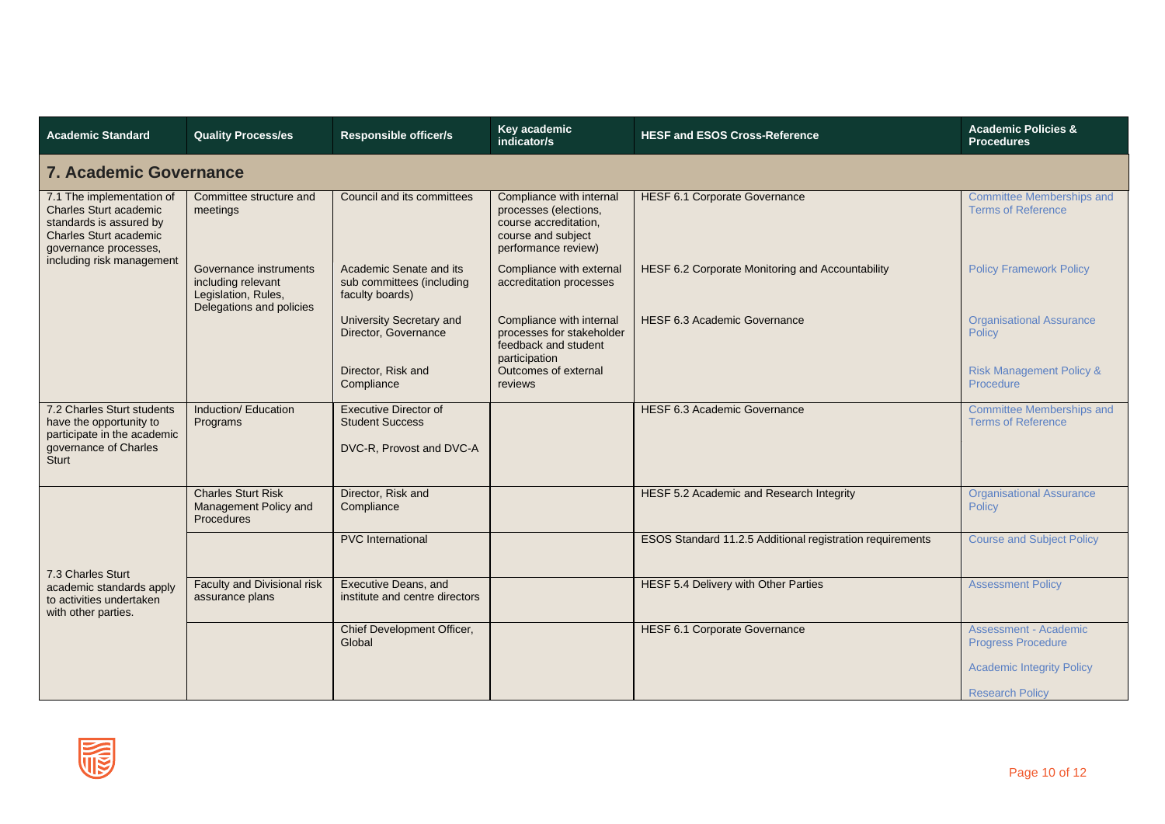| <b>Academic Standard</b>                                                                                                                        | <b>Quality Process/es</b>                                                                       | Responsible officer/s                                                              | Key academic<br>indicator/s                                                                                             | <b>HESF and ESOS Cross-Reference</b>                      | <b>Academic Policies &amp;</b><br><b>Procedures</b>           |  |  |  |  |
|-------------------------------------------------------------------------------------------------------------------------------------------------|-------------------------------------------------------------------------------------------------|------------------------------------------------------------------------------------|-------------------------------------------------------------------------------------------------------------------------|-----------------------------------------------------------|---------------------------------------------------------------|--|--|--|--|
| <b>7. Academic Governance</b>                                                                                                                   |                                                                                                 |                                                                                    |                                                                                                                         |                                                           |                                                               |  |  |  |  |
| 7.1 The implementation of<br><b>Charles Sturt academic</b><br>standards is assured by<br><b>Charles Sturt academic</b><br>governance processes, | Committee structure and<br>meetings                                                             | Council and its committees                                                         | Compliance with internal<br>processes (elections,<br>course accreditation,<br>course and subject<br>performance review) | <b>HESF 6.1 Corporate Governance</b>                      | <b>Committee Memberships and</b><br><b>Terms of Reference</b> |  |  |  |  |
| including risk management                                                                                                                       | Governance instruments<br>including relevant<br>Legislation, Rules,<br>Delegations and policies | Academic Senate and its<br>sub committees (including<br>faculty boards)            | Compliance with external<br>accreditation processes                                                                     | HESF 6.2 Corporate Monitoring and Accountability          | <b>Policy Framework Policy</b>                                |  |  |  |  |
|                                                                                                                                                 |                                                                                                 | University Secretary and<br>Director, Governance                                   | Compliance with internal<br>processes for stakeholder<br>feedback and student<br>participation                          | HESF 6.3 Academic Governance                              | <b>Organisational Assurance</b><br>Policy                     |  |  |  |  |
|                                                                                                                                                 |                                                                                                 | Director, Risk and<br>Compliance                                                   | Outcomes of external<br>reviews                                                                                         |                                                           | <b>Risk Management Policy &amp;</b><br>Procedure              |  |  |  |  |
| 7.2 Charles Sturt students<br>have the opportunity to<br>participate in the academic<br>governance of Charles<br><b>Sturt</b>                   | Induction/ Education<br>Programs                                                                | <b>Executive Director of</b><br><b>Student Success</b><br>DVC-R, Provost and DVC-A |                                                                                                                         | <b>HESF 6.3 Academic Governance</b>                       | <b>Committee Memberships and</b><br><b>Terms of Reference</b> |  |  |  |  |
|                                                                                                                                                 | <b>Charles Sturt Risk</b><br>Management Policy and<br><b>Procedures</b>                         | Director, Risk and<br>Compliance                                                   |                                                                                                                         | HESF 5.2 Academic and Research Integrity                  | <b>Organisational Assurance</b><br><b>Policy</b>              |  |  |  |  |
| 7.3 Charles Sturt                                                                                                                               |                                                                                                 | <b>PVC</b> International                                                           |                                                                                                                         | ESOS Standard 11.2.5 Additional registration requirements | <b>Course and Subject Policy</b>                              |  |  |  |  |
| academic standards apply<br>to activities undertaken<br>with other parties.                                                                     | Faculty and Divisional risk<br>assurance plans                                                  | <b>Executive Deans, and</b><br>institute and centre directors                      |                                                                                                                         | HESF 5.4 Delivery with Other Parties                      | <b>Assessment Policy</b>                                      |  |  |  |  |
|                                                                                                                                                 |                                                                                                 | Chief Development Officer,<br>Global                                               |                                                                                                                         | <b>HESF 6.1 Corporate Governance</b>                      | <b>Assessment - Academic</b><br><b>Progress Procedure</b>     |  |  |  |  |
|                                                                                                                                                 |                                                                                                 |                                                                                    |                                                                                                                         |                                                           | <b>Academic Integrity Policy</b>                              |  |  |  |  |
|                                                                                                                                                 |                                                                                                 |                                                                                    |                                                                                                                         |                                                           | <b>Research Policy</b>                                        |  |  |  |  |

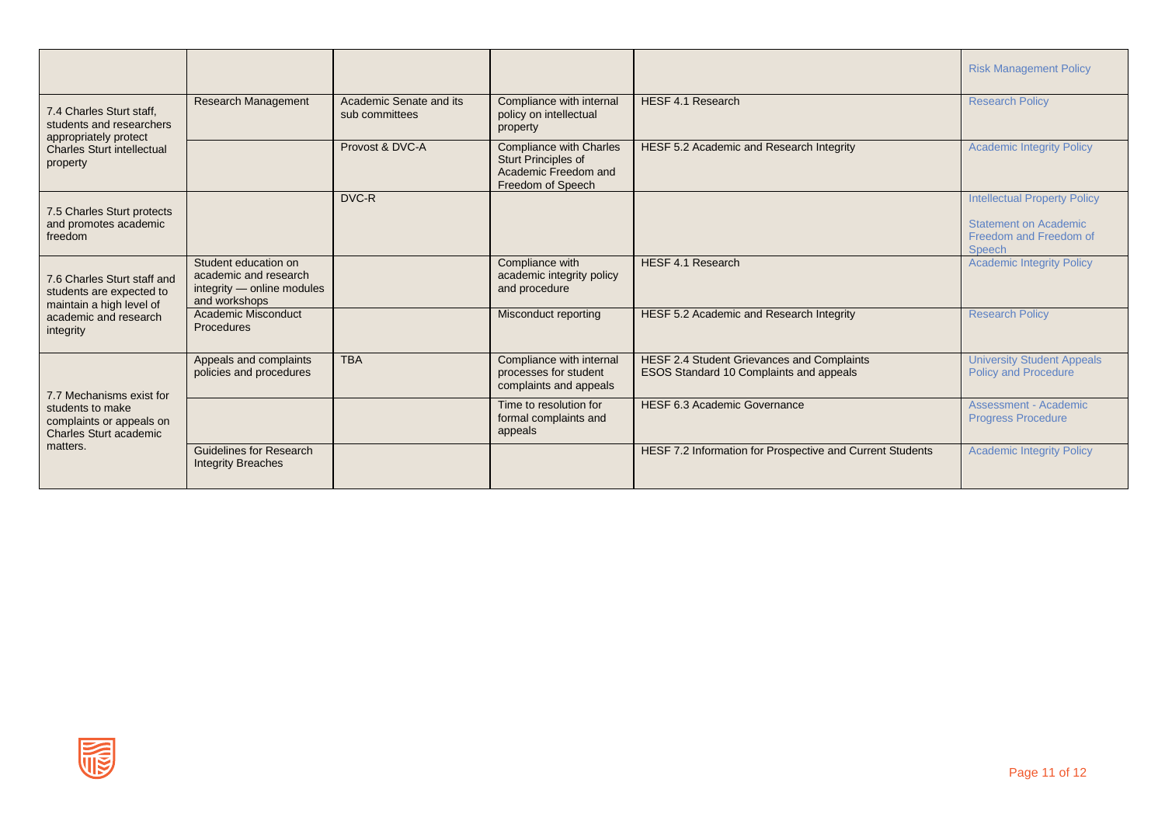|                                                                                                                                |                                                                                              |                                           |                                                                                                           |                                                                                              | <b>Risk Management Policy</b>                                                                           |
|--------------------------------------------------------------------------------------------------------------------------------|----------------------------------------------------------------------------------------------|-------------------------------------------|-----------------------------------------------------------------------------------------------------------|----------------------------------------------------------------------------------------------|---------------------------------------------------------------------------------------------------------|
| 7.4 Charles Sturt staff.<br>students and researchers<br>appropriately protect<br><b>Charles Sturt intellectual</b><br>property | Research Management                                                                          | Academic Senate and its<br>sub committees | Compliance with internal<br>policy on intellectual<br>property                                            | HESF 4.1 Research                                                                            | <b>Research Policy</b>                                                                                  |
|                                                                                                                                |                                                                                              | Provost & DVC-A                           | <b>Compliance with Charles</b><br><b>Sturt Principles of</b><br>Academic Freedom and<br>Freedom of Speech | HESF 5.2 Academic and Research Integrity                                                     | <b>Academic Integrity Policy</b>                                                                        |
| 7.5 Charles Sturt protects<br>and promotes academic<br>freedom                                                                 |                                                                                              | DVC-R                                     |                                                                                                           |                                                                                              | <b>Intellectual Property Policy</b><br><b>Statement on Academic</b><br>Freedom and Freedom of<br>Speech |
| 7.6 Charles Sturt staff and<br>students are expected to<br>maintain a high level of<br>academic and research<br>integrity      | Student education on<br>academic and research<br>integrity - online modules<br>and workshops |                                           | Compliance with<br>academic integrity policy<br>and procedure                                             | HESF 4.1 Research                                                                            | <b>Academic Integrity Policy</b>                                                                        |
|                                                                                                                                | Academic Misconduct<br>Procedures                                                            |                                           | Misconduct reporting                                                                                      | HESF 5.2 Academic and Research Integrity                                                     | <b>Research Policy</b>                                                                                  |
| 7.7 Mechanisms exist for<br>students to make<br>complaints or appeals on<br><b>Charles Sturt academic</b><br>matters.          | Appeals and complaints<br>policies and procedures                                            | <b>TBA</b>                                | Compliance with internal<br>processes for student<br>complaints and appeals                               | HESF 2.4 Student Grievances and Complaints<br><b>ESOS Standard 10 Complaints and appeals</b> | <b>University Student Appeals</b><br><b>Policy and Procedure</b>                                        |
|                                                                                                                                |                                                                                              |                                           | Time to resolution for<br>formal complaints and<br>appeals                                                | HESF 6.3 Academic Governance                                                                 | Assessment - Academic<br><b>Progress Procedure</b>                                                      |
|                                                                                                                                | <b>Guidelines for Research</b><br><b>Integrity Breaches</b>                                  |                                           |                                                                                                           | HESF 7.2 Information for Prospective and Current Students                                    | <b>Academic Integrity Policy</b>                                                                        |